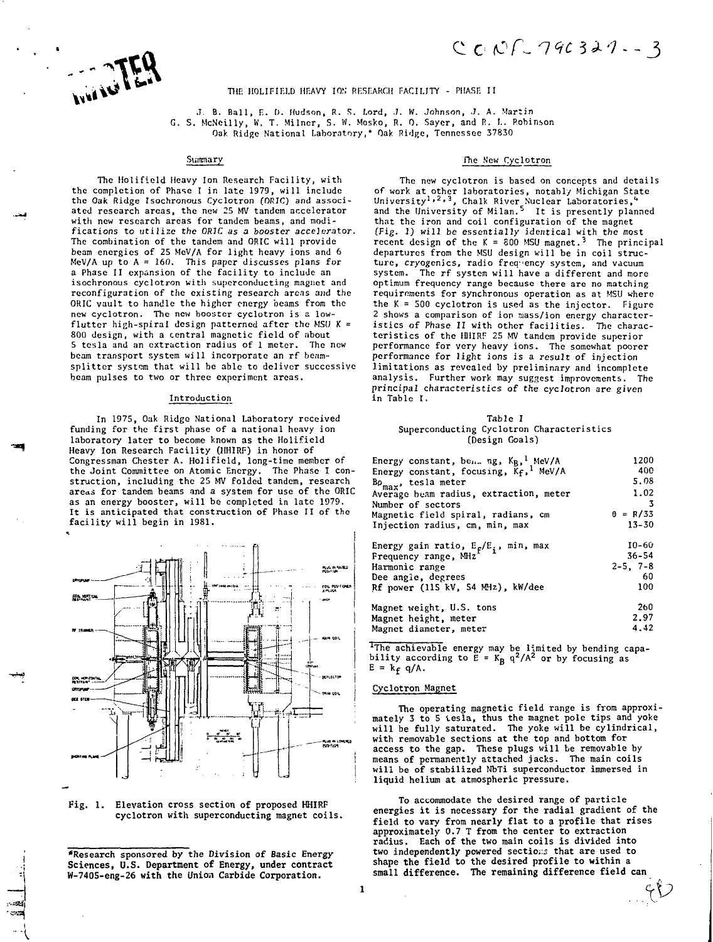# **C (OT- -7--. J**

THE HOLIFIELD HEAVY ION RESEARCH FACILITY - PHASE II

J. B. Ball, E. D. Hudson. R. S. Lord, J. W. Johnson, J. A. Martin G. S. McNcilly, W. T. Milner, S. W. Mosko, R. 0. Sayer, and R. I.. Robinson Oak Ridge National Laboratory,\* Oak Ridge, Tennessee 37830

#### Summary

The Holifield Heavy Ion Research Facility, with the completion of Phase I in late 1979, will include the Oak Ridge Isochronous Cyclotron (ORIC) and associated research areas, the new 25 MV tandem accelerator with new research areas for tandem beams, and modifications to utilize the ORIC as a booster accelerator. The combination of the tandem and ORIC will provide beam energies of 25 MeV/A for light heavy ions and 6 MeV/A up to A = 160. This paper discusses plans for a Phase II expansion of the facility to include an isochronous cyclotron with superconducting magnet and reconfiguration of the existing research areas and the ORIC vault to handle the higher energy beams from the new cyclotron. The new booster cyclotron is a lowflutter high-spiral design patterned after the MSU  $K =$ 800 design, with a central magnetic field of about 5 tesla and an extraction radius of 1 meter. The new beam transport system will incorporate an rf beamsplitter system that will be able to deliver successive beam pulses to two or three experiment areas.

#### Introduction

In 1975, Oak Ridge National Laboratory received funding for the first phase of a national heavy ion laboratory later to become known as the Holifield Heavy Ion Research Facility (HHIRF) in honor of Congressman Chester A. Holifield, long-time member of<br>the Joint Committee on Atomic Energy. The Phase I construction, including the 25 MV folded tandem, research areas for tandem beams and a system for use of the ORIC as an energy booster, will be completed in late 1979. It is anticipated that construction of Phase II of the facility will begin in 1981.





**'Research sponsored by the Division of Basic Energy Sciences, U.S. Department of Energy, under contract W-7405-eng-26 with the Union Carbide Corporation.**

#### The New Cyclotron

The new cyclotron is based on concepts and details of work at other laboratories, notably Michigan State<br>University<sup>1,2,3</sup>, Chalk River Nuclear Laboratories,<sup>4</sup><br>and the University of Milan.<sup>5</sup> It is presently planned that the iron and coil configuration of the magnet (Fig. 1) will be essentially identical with the most recent design of the K = 800 MSU magnet.<sup>3</sup> The principal departures from the MSU design will be in coil structure, cryogenics, radio frequency system, and vacuum system. The rf system will have a different and more optimum frequency range because there are no matching requirements for synchronous operation as at MSU where the  $K = 500$  cyclotron is used as the injector. Figure 2 shows a comparison of ion siass/ion energy characteristics of Phase II with other facilities. The characteristics of the H11IRF 25 MV tandem provide superior performance for very heavy ions. The somewhat poorer performance for light ions is a result of injection limitations as revealed by preliminary and incomplete analysis. Further work may suggest improvements. The principal characteristics of the cyclotron are given in Table I.

#### Table I Superconducting Cyclotron Characteristics (Design Goals')

| Energy constant, bene ng, KB, MeV/A               | 1200            |
|---------------------------------------------------|-----------------|
| Energy constant, focusing, Kf, <sup>1</sup> MeV/A | 400             |
| $B\rho$ <sub>max</sub> , tesla meter              | 5.08            |
| Average beam radius, extraction, meter            | 1.02            |
| Number of sectors                                 | -3              |
| Magnetic field spiral, radians, cm                | $\theta = R/33$ |
| Injection radius, cm, min, max                    | $13 - 30$       |
| Energy gain ratio, $E_f/E_i$ , min, max           | $10 - 60$       |
| Frequency range, MHz                              | $36 - 54$       |
| Harmonic range                                    | $2-5$ , $7-8$   |
| Dee angie, degrees                                | -60             |
| Rf power (115 kV, 54 MHz), kW/dee                 | 100             |
| Magnet weight, U.S. tons                          | 260             |
| Magnet height, meter                              | 2.97            |
| Magnet diameter, meter                            | 4.42            |

<sup>1</sup>The achievable energy may be limited by bending capa-<br>bility according to E = K<sub>B</sub> q<sup>2</sup>/A<sup>2</sup> or by focusing as  $E = k_f q/A$ .

## Cyclotron Magnet

 $\mathbf{1}$ 

The operating magnetic field range is from approximately 3 to 5 tesla, thus the magnet pole tips and yoke will be fully saturated. The yoke will be cylindrical, with removable sections at the top and bottom for access to **the** gap. These plugs will be removable by means of permanently attached jacks. The main coils will be **of** stabilized NbTi superconductor immersed in **liquid** helium **at** atmospheric pressure.

To accommodate the desired range **of** particle energies it is necessary **for** the radial gradient of the **field to vary** from **nearly flat to a profile that** rises approximately 0.7 T **from the** center **to** extraction radius. Each **of the two** main **coils** is divided **into two independently powered** sections **that are** used **to shape the field to the desired profile to within a small difference. The remaining difference field can**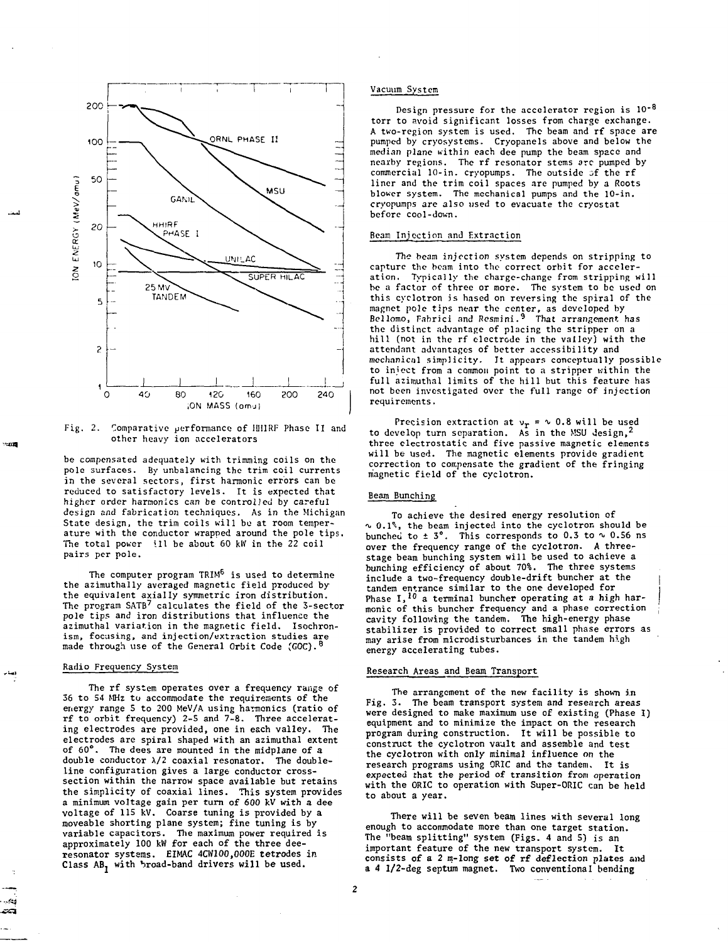

 $Fig. 2.$ Comparative performance of IIIIIRF Phase II and other heavy ion accelerators

be compensated adequately with trimming coils on the pole surfaces. By unbalancing the trim coil currents in the several sectors, first harmonic errors can be reduced to satisfactory levels. It is expected that higher order harmonics can be controlled by careful design and fabrication techniques. As in the Michigan State design, the trim coils will be at room temperature with the conductor wrapped around the pole tips. The total power ill be about 60 kW in the 22 coil pairs per pole.

The computer program TRIM<sup>6</sup> is used to determine the azimuthally averaged magnetic field produced by the equivalent axially symmetric iron distribution. The program SATB<sup>7</sup> calculates the field of the 3-sector pole tips and iron distributions that influence the azimuthal variation in the magnetic field. Isochronism, focusing, and injection/extraction studies are<br>made through use of the General Orbit Code (GOC).<sup>8</sup>

## Radio Frequency System

 $-100$ 

The rf system operates over a frequency range of 36 to 54 MHz to accommodate the requirements of the energy range S to 200 MeV/A using harmonics (ratio of rf to orbit frequency) 2-5 and 7-8. Three accelerating electrodes are provided, one in each valley. The electrodes are spiral shaped with an azimuthal extent of 60°. The dees are mounted in the midplane of a double conductor  $\lambda/2$  coaxial resonator. The doubleline configuration gives a large conductor crosssection within the narrow space available but retains the simplicity of coaxial lines. This system provides a minimum vojtage gain per turn of 600 kV with a dee voltage of 115 kV. Coarse tuning is provided by a moveable shorting plane system; fine tuning is by variable capacitors. The maximum power required is approximately 100 kW for each of the three deeresonator systems. EIMAC 4CW100.000E tetrodes in Class AB, with broad-band drivers will be used.

#### Vacuum System

Design pressure for the accelerator region is  $10^{-8}$ torr to avoid significant losses from charge exchange. A two-region system is used. The beam and rf space are pumped by cryosystems. Cryopanels above and below the median plane within each dee pump the beam space and nearby regions. The rf resonator stems arc pumped by commercial  $10$ -in. cryopumps. The outside  $f$  the rf liner and the trim coil spaces are pumped by a Roots blower system. The mechanical pumps and the 10-in. cryopuraps are also used to evacuate the cryostat before cool-down.

# Beam Injection and Extraction

The beam injection system depends on stripping to capture the beam into the correct orbit for acceleration. Typically the charge-change from stripping will be a factor of three or more. The system to be used on this cyclotron is based on reversing the spiral of the magnet pole tips ne<mark>ar t</mark>he center, as developed by<br>Bellomo, Fabrici and Resmini.<sup>9</sup> That arrangement has the distinct advantage of placing the stripper on a hill (not in the rf electrode in the valley) with the attendant advantages of better accessibility and mechanical simplicity. It appears conceptually possible to inject from a common point to a stripper within the full azimuthal limits of the hill but this feature has not been investigated over the full range of injection requirements.

Precision extraction at  $v_r = \nu$  0.8 will be used<br>to develop turn separation. As in the MSU design,<sup>2</sup> three electrostatic and five passive magnetic elements will be used. The magnetic elements provide gradient correction to compensate the gradient of the fringing magnetic field of the cyclotron.

### Beam Bunching

To achieve the desired energy resolution of  $\sim$  0.1%, the beam injected into the cyclotron should be bunched to  $\pm$  3°. This corresponds to 0.3 to  $\sim$  0.56 ns over the frequency range of the cyclotron. A threestage beam bunching system will be used to achieve a bunching efficiency of about 70%. The three systems include a two-frequency double-drift buncher at the tandem entrance similar to the one developed for Phase  $I,$ <sup>10</sup> a terminal buncher operating at a high harmonic of this buncher frequency and a phase correction cavity following the tandem. The high-energy phase stabilizer is provided to correct small phase errors as may arise from microdisturbances in the tandem high energy accelerating tubes.

#### Research Areas and Beam Transport

The arrangement of the new facility is shown in Fig. 3. The beam transport system and research areas were designed to make maximum use of existing (Phase I) equipment and to minimize the impact on the research program during construction. It will be possible to construct the cyclotron vault and assemble and test the cyclotron with only minimal influence on the research programs using ORIC and tha tandem. It is expected that the period of transition from operation with the ORIC to operation with Super-ORIC can be held to about a year.

There will be seven beam lines with several long enough to accommodate more than one target station. The "beam splitting" system (Figs. 4 and 5} is an important feature of the new transport system. It consists of a 2 m-long set of rf deflection plates and a 4 1/2-deg septum magnet. Two conventional bending

 $\overline{c}$